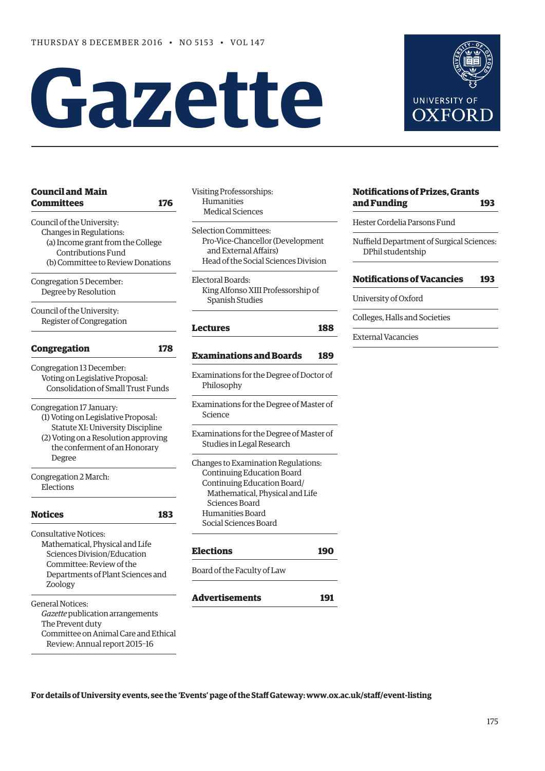# **Gazette**



Degree

Elections

Zoology

Review: Annual report 2015–16

## **UNIVERSITY OF OXFOR**

#### **[Notifications of Prizes, Grants](#page-18-0)  and Funding 193**

Hester Cordelia Parsons Fund

Nuffield Department of Surgical Sciences: DPhil studentship

#### **[Notifications of Vacancies 193](#page-18-0)**

University of Oxford

Colleges, Halls and Societies

External Vacancies

#### **For details of University events, see the 'Events' page of the Staff Gateway: [www.ox.ac.uk/staff/event-listing](http://www.ox.ac.uk/staff/event-listing)**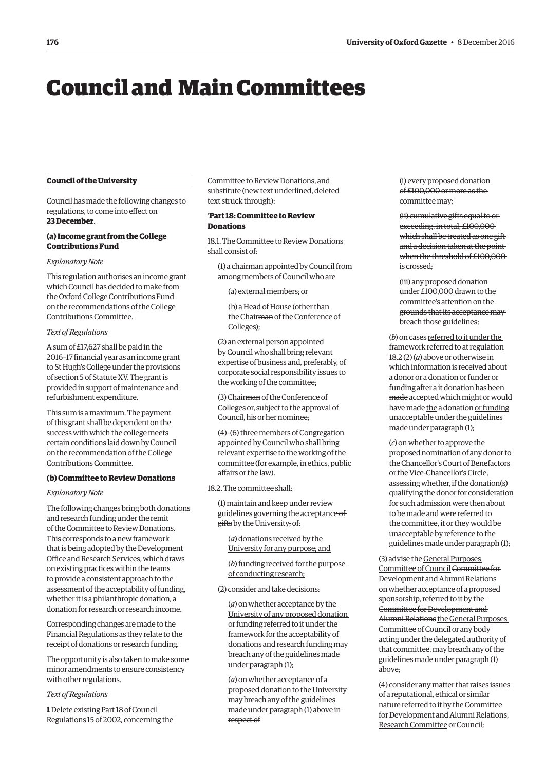## <span id="page-1-0"></span>Council and Main Committees

#### **Council of the University**

Council has made the following changes to regulations, to come into effect on **23 December**.

#### **(a) Income grant from the College Contributions Fund**

#### *Explanatory Note*

This regulation authorises an income grant which Council has decided to make from the Oxford College Contributions Fund on the recommendations of the College Contributions Committee.

#### *Text of Regulations*

A sum of £17,627 shall be paid in the 2016–17 financial year as an income grant to St Hugh's College under the provisions of section 5 of Statute XV. The grant is provided in support of maintenance and refurbishment expenditure.

This sum is a maximum. The payment of this grant shall be dependent on the success with which the college meets certain conditions laid down by Council on the recommendation of the College Contributions Committee.

#### **(b) Committee to Review Donations**

#### *Explanatory Note*

The following changes bring both donations and research funding under the remit of the Committee to Review Donations. This corresponds to a new framework that is being adopted by the Development Office and Research Services, which draws on existing practices within the teams to provide a consistent approach to the assessment of the acceptability of funding, whether it is a philanthropic donation, a donation for research or research income.

Corresponding changes are made to the Financial Regulations as they relate to the receipt of donations or research funding.

The opportunity is also taken to make some minor amendments to ensure consistency with other regulations.

#### *Text of Regulations*

**1** Delete existing Part 18 of Council Regulations 15 of 2002, concerning the Committee to Review Donations, and substitute (new text underlined, deleted text struck through):

#### '**Part 18: Committee to Review Donations**

18.1. The Committee to Review Donations shall consist of:

(1) a chairman appointed by Council from among members of Council who are

(a) external members; or

(b) a Head of House (other than the Chairman of the Conference of Colleges);

(2) an external person appointed by Council who shall bring relevant expertise of business and, preferably, of corporate social responsibility issues to the working of the committee;

(3) Chairman of the Conference of Colleges or, subject to the approval of Council, his or her nominee;

(4)–(6) three members of Congregation appointed by Council who shall bring relevant expertise to the working of the committee (for example, in ethics, public affairs or the law).

18.2. The committee shall:

(1) maintain and keep under review guidelines governing the acceptance of gifts by the University; of:

(*a*) donations received by the University for any purpose; and

(*b*) funding received for the purpose of conducting research;

(2) consider and take decisions:

(*a*) on whether acceptance by the University of any proposed donation or funding referred to it under the framework for the acceptability of donations and research funding may breach any of the guidelines made under paragraph (1);

(*a*) on whether acceptance of a proposed donation to the University may breach any of the guidelines made under paragraph (1) above in respect of

(i) every proposed donation of £100,000 or more as the committee may;

(ii) cumulative gifts equal to or exceeding, in total, £100,000 which shall be treated as one gift and a decision taken at the point when the threshold of £100,000 is crossed;

(iii) any proposed donation under £100,000 drawn to the committee's attention on the grounds that its acceptance may breach those guidelines;

(*b*) on cases referred to it under the framework referred to at regulation 18.2 (2) (*a*) above or otherwise in which information is received about a donor or a donation or funder or funding after a it donation has been made accepted which might or would have made the a donation or funding unacceptable under the guidelines made under paragraph (1);

(*c*) on whether to approve the proposed nomination of any donor to the Chancellor's Court of Benefactors or the Vice-Chancellor's Circle, assessing whether, if the donation(s) qualifying the donor for consideration for such admission were then about to be made and were referred to the committee, it or they would be unacceptable by reference to the guidelines made under paragraph (1);

(3) advise the General Purposes Committee of Council Committee for Development and Alumni Relations on whether acceptance of a proposed sponsorship, referred to it by the Committee for Development and Alumni Relations the General Purposes Committee of Council or any body acting under the delegated authority of that committee, may breach any of the guidelines made under paragraph (1) above;

(4) consider any matter that raises issues of a reputational, ethical or similar nature referred to it by the Committee for Development and Alumni Relations, Research Committee or Council;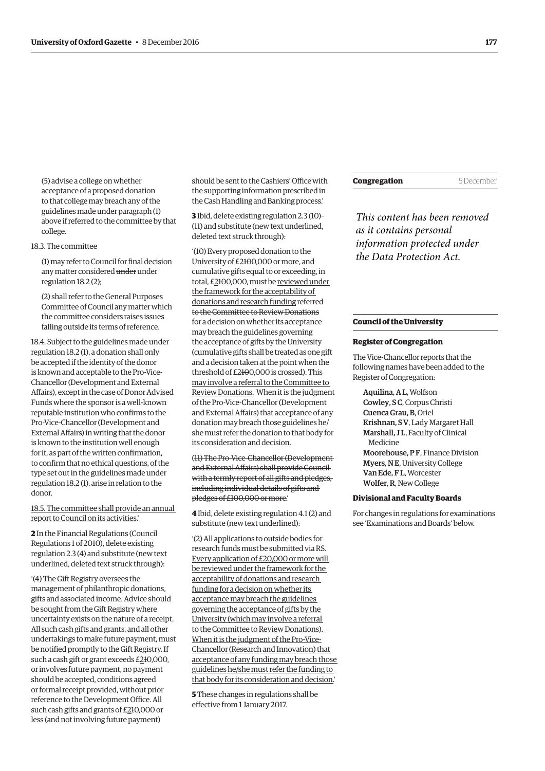(5) advise a college on whether acceptance of a proposed donation to that college may breach any of the guidelines made under paragraph (1) above if referred to the committee by that college.

18.3. The committee

(1) may refer to Council for final decision any matter considered under under regulation 18.2 (2);

(2) shall refer to the General Purposes Committee of Council any matter which the committee considers raises issues falling outside its terms of reference.

18.4. Subject to the guidelines made under regulation 18.2 (1), a donation shall only be accepted if the identity of the donor is known and acceptable to the Pro-Vice-Chancellor (Development and External Affairs), except in the case of Donor Advised Funds where the sponsor is a well-known reputable institution who confirms to the Pro-Vice-Chancellor (Development and External Affairs) in writing that the donor is known to the institution well enough for it, as part of the written confirmation, to confirm that no ethical questions, of the type set out in the guidelines made under regulation 18.2 (1), arise in relation to the donor.

18.5. The committee shall provide an annual report to Council on its activities.'

**2** In the Financial Regulations (Council Regulations 1 of 2010), delete existing regulation 2.3 (4) and substitute (new text underlined, deleted text struck through):

'(4) The Gift Registry oversees the management of philanthropic donations, gifts and associated income. Advice should be sought from the Gift Registry where uncertainty exists on the nature of a receipt. All such cash gifts and grants, and all other undertakings to make future payment, must be notified promptly to the Gift Registry. If such a cash gift or grant exceeds £210,000, or involves future payment, no payment should be accepted, conditions agreed or formal receipt provided, without prior reference to the Development Office. All such cash gifts and grants of £210,000 or less (and not involving future payment)

should be sent to the Cashiers' Office with the supporting information prescribed in the Cash Handling and Banking process.'

**3** Ibid, delete existing regulation 2.3 (10)– (11) and substitute (new text underlined, deleted text struck through):

'(10) Every proposed donation to the University of £2100,000 or more, and cumulative gifts equal to or exceeding, in total, £2100,000, must be reviewed under the framework for the acceptability of donations and research funding referred to the Committee to Review Donations for a decision on whether its acceptance may breach the guidelines governing the acceptance of gifts by the University (cumulative gifts shall be treated as one gift and a decision taken at the point when the threshold of £2100,000 is crossed). This may involve a referral to the Committee to Review Donations. When it is the judgment of the Pro-Vice-Chancellor (Development and External Affairs) that acceptance of any donation may breach those guidelines he/ she must refer the donation to that body for its consideration and decision.

(11) The Pro-Vice-Chancellor (Development and External Affairs) shall provide Council with a termly report of all gifts and pledges, including individual details of gifts and pledges of £100,000 or more.'

**4** Ibid, delete existing regulation 4.1 (2) and substitute (new text underlined):

'(2) All applications to outside bodies for research funds must be submitted via RS. Every application of £20,000 or more will be reviewed under the framework for the acceptability of donations and research funding for a decision on whether its acceptance may breach the guidelines governing the acceptance of gifts by the University (which may involve a referral to the Committee to Review Donations). When it is the judgment of the Pro-Vice-Chancellor (Research and Innovation) that acceptance of any funding may breach those guidelines he/she must refer the funding to that body for its consideration and decision.'

**5** These changes in regulations shall be effective from 1 January 2017.

**Congregation** 5 December

*This content has been removed as it contains personal information protected under the Data Protection Act.*

#### **Council of the University**

#### **Register of Congregation**

The Vice-Chancellor reports that the following names have been added to the Register of Congregation:

Aquilina, A L, Wolfson Cowley, S C, Corpus Christi Cuenca Grau, B, Oriel Krishnan, S V, Lady Margaret Hall Marshall, J L, Faculty of Clinical Medicine Moorehouse, P.F. Finance Division Myers, N E, University College Van Ede, F L, Worcester Wolfer, R, New College

#### **Divisional and Faculty Boards**

For changes in regulations for examinations see '[Examinations and Boards'](#page-15-0) below.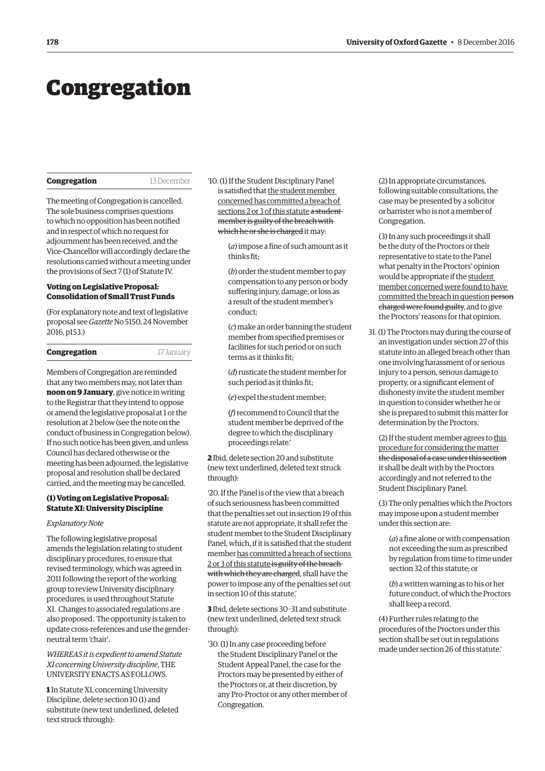## <span id="page-3-0"></span>Congregation

#### **Congregation** 13 December

The meeting of Congregation is cancelled. The sole business comprises questions to which no opposition has been notified and in respect of which no request for adjournment has been received, and the Vice-Chancellor will accordingly declare the resolutions carried without a meeting under the provisions of Sect 7 (1) of Statute IV.

#### **Voting on Legislative Proposal: Consolidation of Small Trust Funds**

(For explanatory note and text of legislative proposal see *Gazette* [No 5150, 24 November](http://www.ox.ac.uk/gazette/2016-2017/24november2016-no5151/congregation/#245777)  2016, p153.)

| Congregation | 17 January |
|--------------|------------|
|--------------|------------|

Members of Congregation are reminded that any two members may, not later than **noon on 9 January**, give notice in writing to the Registrar that they intend to oppose or amend the legislative proposal at 1 or the resolution at 2 below (see the note on the conduct of business in Congregation below). If no such notice has been given, and unless Council has declared otherwise or the meeting has been adjourned, the legislative proposal and resolution shall be declared carried, and the meeting may be cancelled.

#### **(1) Voting on Legislative Proposal: Statute XI: University Discipline**

#### *Explanatory Note*

The following legislative proposal amends the legislation relating to student disciplinary procedures, to ensure that revised terminology, which was agreed in 2011 following the report of the working group to review University disciplinary procedures, is used throughout Statute XI. Changes to associated regulations are also proposed. The opportunity is taken to update cross-references and use the genderneutral term 'chair'.

#### *WHEREAS it is expedient to amend Statute XI concerning University discipline*, THE UNIVERSITY ENACTS AS FOLLOWS.

**1** In Statute XI, concerning University Discipline, delete section 10 (1) and substitute (new text underlined, deleted text struck through):

'10. (1) If the Student Disciplinary Panel is satisfied that the student member concerned has committed a breach of sections 2 or 3 of this statute a student member is guilty of the breach with which he or she is charged it may:

> (*a*) impose a fine of such amount as it thinks fit;

(*b*) order the student member to pay compensation to any person or body suffering injury, damage, or loss as a result of the student member's conduct;

(*c*) make an order banning the student member from specified premises or facilities for such period or on such terms as it thinks fit;

(*d*) rusticate the student member for such period as it thinks fit;

(*e*) expel the student member;

(*f*) recommend to Council that the student member be deprived of the degree to which the disciplinary proceedings relate.'

**2** Ibid, delete section 20 and substitute (new text underlined, deleted text struck through):

'20. If the Panel is of the view that a breach of such seriousness has been committed that the penalties set out in section 19 of this statute are not appropriate, it shall refer the student member to the Student Disciplinary Panel, which, if it is satisfied that the student member has committed a breach of sections 2 or 3 of this statute is guilty of the breach with which they are charged, shall have the power to impose any of the penalties set out in section 10 of this statute.'

**3** Ibid, delete sections 30–31 and substitute (new text underlined, deleted text struck through):

'30. (1) In any case proceeding before the Student Disciplinary Panel or the Student Appeal Panel, the case for the Proctors may be presented by either of the Proctors or, at their discretion, by any Pro-Proctor or any other member of Congregation.

(2) In appropriate circumstances, following suitable consultations, the case may be presented by a solicitor or barrister who is not a member of Congregation.

(3) In any such proceedings it shall be the duty of the Proctors or their representative to state to the Panel what penalty in the Proctors' opinion would be appropriate if the student member concerned were found to have committed the breach in question person charged were found guilty, and to give the Proctors' reasons for that opinion.

31. (1) The Proctors may during the course of an investigation under section 27 of this statute into an alleged breach other than one involving harassment of or serious injury to a person, serious damage to property, or a significant element of dishonesty invite the student member in question to consider whether he or she is prepared to submit this matter for determination by the Proctors.

(2) If the student member agrees to this procedure for considering the matter the disposal of a case under this section it shall be dealt with by the Proctors accordingly and not referred to the Student Disciplinary Panel.

(3) The only penalties which the Proctors may impose upon a student member under this section are:

(*a*) a fine alone or with compensation not exceeding the sum as prescribed by regulation from time to time under section 32 of this statute; or

(*b*) a written warning as to his or her future conduct, of which the Proctors shall keep a record.

(4) Further rules relating to the procedures of the Proctors under this section shall be set out in regulations made under section 26 of this statute.'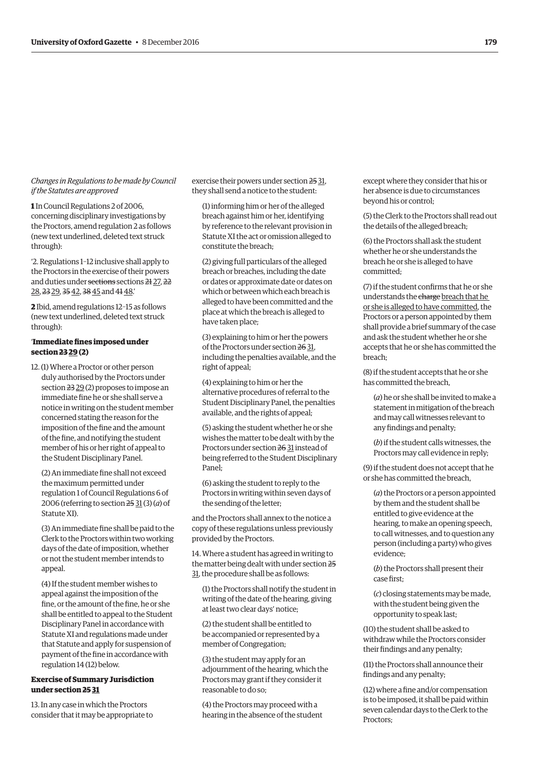#### *Changes in Regulations to be made by Council if the Statutes are approved*

**1** In Council Regulations 2 of 2006, concerning disciplinary investigations by the Proctors, amend regulation 2 as follows (new text underlined, deleted text struck through):

'2. Regulations 1–12 inclusive shall apply to the Proctors in the exercise of their powers and duties under sections sections 21 27, 22 28, 23 29, 35 42, 38 45 and 41 48.

**2** Ibid, amend regulations 12–15 as follows (new text underlined, deleted text struck through):

#### '**Immediate fines imposed under section 23 29 (2)**

12. (1) Where a Proctor or other person duly authorised by the Proctors under section 23 29 (2) proposes to impose an immediate fine he or she shall serve a notice in writing on the student member concerned stating the reason for the imposition of the fine and the amount of the fine, and notifying the student member of his or her right of appeal to the Student Disciplinary Panel.

(2) An immediate fine shall not exceed the maximum permitted under regulation 1 of Council Regulations 6 of 2006 (referring to section 25 31 (3) (*a*) of Statute XI).

(3) An immediate fine shall be paid to the Clerk to the Proctors within two working days of the date of imposition, whether or not the student member intends to appeal.

(4) If the student member wishes to appeal against the imposition of the fine, or the amount of the fine, he or she shall be entitled to appeal to the Student Disciplinary Panel in accordance with Statute XI and regulations made under that Statute and apply for suspension of payment of the fine in accordance with regulation 14 (12) below.

#### **Exercise of Summary Jurisdiction under section 25 31**

13. In any case in which the Proctors consider that it may be appropriate to

exercise their powers under section 25 31, they shall send a notice to the student:

(1) informing him or her of the alleged breach against him or her, identifying by reference to the relevant provision in Statute XI the act or omission alleged to constitute the breach;

(2) giving full particulars of the alleged breach or breaches, including the date or dates or approximate date or dates on which or between which each breach is alleged to have been committed and the place at which the breach is alleged to have taken place;

(3) explaining to him or her the powers of the Proctors under section 26 31, including the penalties available, and the right of appeal;

(4) explaining to him or her the alternative procedures of referral to the Student Disciplinary Panel, the penalties available, and the rights of appeal;

(5) asking the student whether he or she wishes the matter to be dealt with by the Proctors under section 26 31 instead of being referred to the Student Disciplinary Panel;

(6) asking the student to reply to the Proctors in writing within seven days of the sending of the letter;

and the Proctors shall annex to the notice a copy of these regulations unless previously provided by the Proctors.

14. Where a student has agreed in writing to the matter being dealt with under section 25 31, the procedure shall be as follows:

(1) the Proctors shall notify the student in writing of the date of the hearing, giving at least two clear days' notice;

(2) the student shall be entitled to be accompanied or represented by a member of Congregation;

(3) the student may apply for an adjournment of the hearing, which the Proctors may grant if they consider it reasonable to do so;

(4) the Proctors may proceed with a hearing in the absence of the student except where they consider that his or her absence is due to circumstances beyond his or control;

(5) the Clerk to the Proctors shall read out the details of the alleged breach;

(6) the Proctors shall ask the student whether he or she understands the breach he or she is alleged to have committed;

(7) if the student confirms that he or she understands the charge breach that he or she is alleged to have committed, the Proctors or a person appointed by them shall provide a brief summary of the case and ask the student whether he or she accepts that he or she has committed the breach;

(8) if the student accepts that he or she has committed the breach,

(*a*) he or she shall be invited to make a statement in mitigation of the breach and may call witnesses relevant to any findings and penalty;

(*b*) if the student calls witnesses, the Proctors may call evidence in reply;

(9) if the student does not accept that he or she has committed the breach,

(*a*) the Proctors or a person appointed by them and the student shall be entitled to give evidence at the hearing, to make an opening speech, to call witnesses, and to question any person (including a party) who gives evidence;

(*b*) the Proctors shall present their case first;

(*c*) closing statements may be made, with the student being given the opportunity to speak last;

(10) the student shall be asked to withdraw while the Proctors consider their findings and any penalty;

(11) the Proctors shall announce their findings and any penalty;

(12) where a fine and/or compensation is to be imposed, it shall be paid within seven calendar days to the Clerk to the Proctors;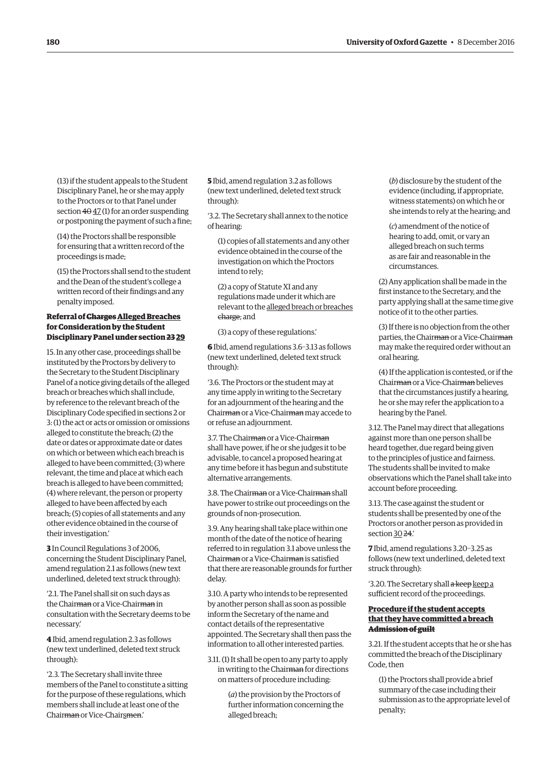(13) if the student appeals to the Student Disciplinary Panel, he or she may apply to the Proctors or to that Panel under section  $4\theta$   $47$  (1) for an order suspending or postponing the payment of such a fine;

(14) the Proctors shall be responsible for ensuring that a written record of the proceedings is made;

(15) the Proctors shall send to the student and the Dean of the student's college a written record of their findings and any penalty imposed.

#### **Referral of ChargesAlleged Breaches for Consideration by the Student Disciplinary Panel under section 23 29**

15. In any other case, proceedings shall be instituted by the Proctors by delivery to the Secretary to the Student Disciplinary Panel of a notice giving details of the alleged breach or breaches which shall include, by reference to the relevant breach of the Disciplinary Code specified in sections 2 or 3: (1) the act or acts or omission or omissions alleged to constitute the breach; (2) the date or dates or approximate date or dates on which or between which each breach is alleged to have been committed; (3) where relevant, the time and place at which each breach is alleged to have been committed; (4) where relevant, the person or property alleged to have been affected by each breach; (5) copies of all statements and any other evidence obtained in the course of their investigation.'

**3** In Council Regulations 3 of 2006, concerning the Student Disciplinary Panel, amend regulation 2.1 as follows (new text underlined, deleted text struck through):

'2.1. The Panel shall sit on such days as the Chairman or a Vice-Chairman in consultation with the Secretary deems to be necessary.'

**4** Ibid, amend regulation 2.3 as follows (new text underlined, deleted text struck through):

'2.3. The Secretary shall invite three members of the Panel to constitute a sitting for the purpose of these regulations, which members shall include at least one of the Chairman or Vice-Chairsmen.'

**5** Ibid, amend regulation 3.2 as follows (new text underlined, deleted text struck through):

'3.2. The Secretary shall annex to the notice of hearing:

(1) copies of all statements and any other evidence obtained in the course of the investigation on which the Proctors intend to rely;

(2) a copy of Statute XI and any regulations made under it which are relevant to the alleged breach or breaches charge; and

(3) a copy of these regulations.'

**6** Ibid, amend regulations 3.6–3.13 as follows (new text underlined, deleted text struck through):

'3.6. The Proctors or the student may at any time apply in writing to the Secretary for an adjournment of the hearing and the Chairman or a Vice-Chairman may accede to or refuse an adjournment.

3.7. The Chairman or a Vice-Chairman shall have power, if he or she judges it to be advisable, to cancel a proposed hearing at any time before it has begun and substitute alternative arrangements.

3.8. The Chairman or a Vice-Chairman shall have power to strike out proceedings on the grounds of non-prosecution.

3.9. Any hearing shall take place within one month of the date of the notice of hearing referred to in regulation 3.1 above unless the Chairman or a Vice-Chairman is satisfied that there are reasonable grounds for further delay.

3.10. A party who intends to be represented by another person shall as soon as possible inform the Secretary of the name and contact details of the representative appointed. The Secretary shall then pass the information to all other interested parties.

3.11. (1) It shall be open to any party to apply in writing to the Chairman for directions on matters of procedure including:

> (*a*) the provision by the Proctors of further information concerning the alleged breach;

(*b*) disclosure by the student of the evidence (including, if appropriate, witness statements) on which he or she intends to rely at the hearing; and

(*c*) amendment of the notice of hearing to add, omit, or vary an alleged breach on such terms as are fair and reasonable in the circumstances.

(2) Any application shall be made in the first instance to the Secretary, and the party applying shall at the same time give notice of it to the other parties.

(3) If there is no objection from the other parties, the Chairman or a Vice-Chairman may make the required order without an oral hearing.

(4) If the application is contested, or if the Chairman or a Vice-Chairman believes that the circumstances justify a hearing, he or she may refer the application to a hearing by the Panel.

3.12. The Panel may direct that allegations against more than one person shall be heard together, due regard being given to the principles of justice and fairness. The students shall be invited to make observations which the Panel shall take into account before proceeding.

3.13. The case against the student or students shall be presented by one of the Proctors or another person as provided in section 30 24.

**7** Ibid, amend regulations 3.20–3.25 as follows (new text underlined, deleted text struck through):

'3.20. The Secretary shall a keep keep a sufficient record of the proceedings.

#### **Procedure if the student accepts that they have committed a breach Admission of guilt**

3.21. If the student accepts that he or she has committed the breach of the Disciplinary Code, then

(1) the Proctors shall provide a brief summary of the case including their submission as to the appropriate level of penalty;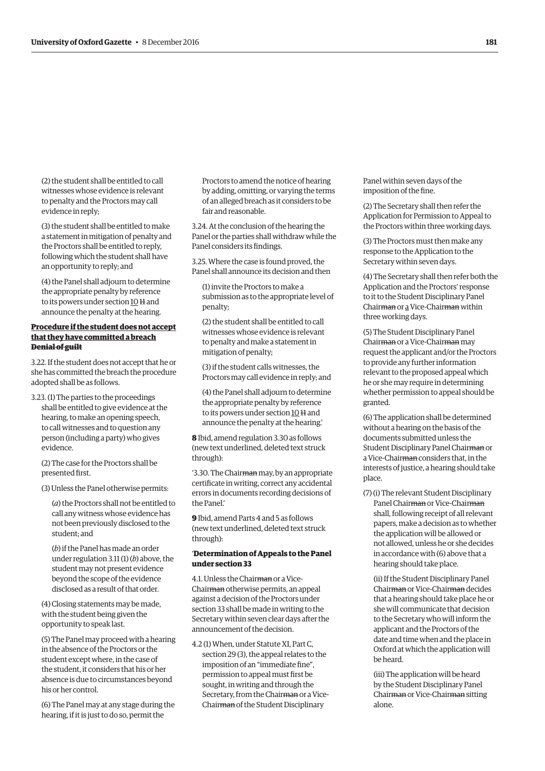(2) the student shall be entitled to call witnesses whose evidence is relevant to penalty and the Proctors may call evidence in reply;

(3) the student shall be entitled to make a statement in mitigation of penalty and the Proctors shall be entitled to reply, following which the student shall have an opportunity to reply; and

(4) the Panel shall adjourn to determine the appropriate penalty by reference to its powers under section  $1011$  and announce the penalty at the hearing.

#### **Procedure if the student does not accept that they have committed a breach Denial of guilt**

3.22. If the student does not accept that he or she has committed the breach the procedure adopted shall be as follows.

3.23. (1) The parties to the proceedings shall be entitled to give evidence at the hearing, to make an opening speech, to call witnesses and to question any person (including a party) who gives evidence.

(2) The case for the Proctors shall be presented first.

(3) Unless the Panel otherwise permits:

(*a*) the Proctors shall not be entitled to call any witness whose evidence has not been previously disclosed to the student; and

(*b*) if the Panel has made an order under regulation 3.11 (1) (*b*) above, the student may not present evidence beyond the scope of the evidence disclosed as a result of that order.

(4) Closing statements may be made, with the student being given the opportunity to speak last.

(5) The Panel may proceed with a hearing in the absence of the Proctors or the student except where, in the case of the student, it considers that his or her absence is due to circumstances beyond his or her control.

(6) The Panel may at any stage during the hearing, if it is just to do so, permit the

Proctors to amend the notice of hearing by adding, omitting, or varying the terms of an alleged breach as it considers to be fair and reasonable.

3.24. At the conclusion of the hearing the Panel or the parties shall withdraw while the Panel considers its findings.

3.25. Where the case is found proved, the Panel shall announce its decision and then

(1) invite the Proctors to make a submission as to the appropriate level of penalty;

(2) the student shall be entitled to call witnesses whose evidence is relevant to penalty and make a statement in mitigation of penalty;

(3) if the student calls witnesses, the Proctors may call evidence in reply; and

(4) the Panel shall adjourn to determine the appropriate penalty by reference to its powers under section  $10H$  and announce the penalty at the hearing.'

**8** Ibid, amend regulation 3.30 as follows (new text underlined, deleted text struck through):

'3.30. The Chair<del>man</del> may, by an appropriate certificate in writing, correct any accidental errors in documents recording decisions of the Panel.'

**9** Ibid, amend Parts 4 and 5 as follows (new text underlined, deleted text struck through):

#### '**Determination of Appeals to the Panel under section 33**

4.1. Unless the Chairman or a Vice-Chairman otherwise permits, an appeal against a decision of the Proctors under section 33 shall be made in writing to the Secretary within seven clear days after the announcement of the decision.

4.2 (1) When, under Statute XI, Part C, section 29 (3), the appeal relates to the imposition of an "immediate fine", permission to appeal must first be sought, in writing and through the Secretary, from the Chairman or a Vice-Chairman of the Student Disciplinary

Panel within seven days of the imposition of the fine.

(2) The Secretary shall then refer the Application for Permission to Appeal to the Proctors within three working days.

(3) The Proctors must then make any response to the Application to the Secretary within seven days.

(4) The Secretary shall then refer both the Application and the Proctors' response to it to the Student Disciplinary Panel Chairman or a Vice-Chairman within three working days.

(5) The Student Disciplinary Panel Chairman or a Vice-Chairman may request the applicant and/or the Proctors to provide any further information relevant to the proposed appeal which he or she may require in determining whether permission to appeal should be granted.

(6) The application shall be determined without a hearing on the basis of the documents submitted unless the Student Disciplinary Panel Chairman or a Vice-Chairman considers that, in the interests of justice, a hearing should take place.

(7) (i) The relevant Student Disciplinary Panel Chairman or Vice-Chairman shall, following receipt of all relevant papers, make a decision as to whether the application will be allowed or not allowed, unless he or she decides in accordance with (6) above that a hearing should take place.

(ii) If the Student Disciplinary Panel Chairman or Vice-Chairman decides that a hearing should take place he or she will communicate that decision to the Secretary who will inform the applicant and the Proctors of the date and time when and the place in Oxford at which the application will be heard.

(iii) The application will be heard by the Student Disciplinary Panel Chairman or Vice-Chairman sitting alone.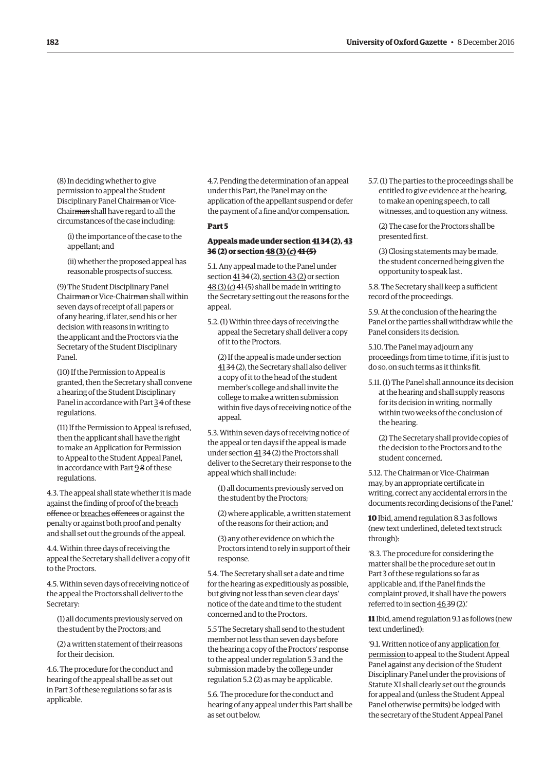(8) In deciding whether to give permission to appeal the Student Disciplinary Panel Chairman or Vice-Chairman shall have regard to all the circumstances of the case including:

(i) the importance of the case to the appellant; and

(ii) whether the proposed appeal has reasonable prospects of success.

(9) The Student Disciplinary Panel Chairman or Vice-Chairman shall within seven days of receipt of all papers or of any hearing, if later, send his or her decision with reasons in writing to the applicant and the Proctors via the Secretary of the Student Disciplinary Panel.

(10) If the Permission to Appeal is granted, then the Secretary shall convene a hearing of the Student Disciplinary Panel in accordance with Part 3 4 of these regulations.

(11) If the Permission to Appeal is refused, then the applicant shall have the right to make an Application for Permission to Appeal to the Student Appeal Panel, in accordance with Part 9 8 of these regulations.

4.3. The appeal shall state whether it is made against the finding of proof of the breach offence or breaches offences or against the penalty or against both proof and penalty and shall set out the grounds of the appeal.

4.4. Within three days of receiving the appeal the Secretary shall deliver a copy of it to the Proctors.

4.5. Within seven days of receiving notice of the appeal the Proctors shall deliver to the Secretary:

(1) all documents previously served on the student by the Proctors; and

(2) a written statement of their reasons for their decision.

4.6. The procedure for the conduct and hearing of the appeal shall be as set out in Part 3 of these regulations so far as is applicable.

4.7. Pending the determination of an appeal under this Part, the Panel may on the application of the appellant suspend or defer the payment of a fine and/or compensation.

#### **Part 5**

#### **Appeals made under section 41 34 (2), 43 36 (2) or section 48 (3) (***c***)41 (5)**

5.1. Any appeal made to the Panel under section 41 34 (2), section 43 (2) or section 48 (3) (*c*) 41 (5) shall be made in writing to the Secretary setting out the reasons for the appeal.

5.2. (1) Within three days of receiving the appeal the Secretary shall deliver a copy of it to the Proctors.

(2) If the appeal is made under section 41 34 (2), the Secretary shall also deliver a copy of it to the head of the student member's college and shall invite the college to make a written submission within five days of receiving notice of the appeal.

5.3. Within seven days of receiving notice of the appeal or ten days if the appeal is made under section 41 34 (2) the Proctors shall deliver to the Secretary their response to the appeal which shall include:

(1) all documents previously served on the student by the Proctors;

(2) where applicable, a written statement of the reasons for their action; and

(3) any other evidence on which the Proctors intend to rely in support of their response.

5.4. The Secretary shall set a date and time for the hearing as expeditiously as possible, but giving not less than seven clear days' notice of the date and time to the student concerned and to the Proctors.

5.5 The Secretary shall send to the student member not less than seven days before the hearing a copy of the Proctors' response to the appeal under regulation 5.3 and the submission made by the college under regulation 5.2 (2) as may be applicable.

5.6. The procedure for the conduct and hearing of any appeal under this Part shall be as set out below.

5.7. (1) The parties to the proceedings shall be entitled to give evidence at the hearing, to make an opening speech, to call witnesses, and to question any witness.

(2) The case for the Proctors shall be presented first.

(3) Closing statements may be made, the student concerned being given the opportunity to speak last.

5.8. The Secretary shall keep a sufficient record of the proceedings.

5.9. At the conclusion of the hearing the Panel or the parties shall withdraw while the Panel considers its decision.

5.10. The Panel may adjourn any proceedings from time to time, if it is just to do so, on such terms as it thinks fit.

5.11. (1) The Panel shall announce its decision at the hearing and shall supply reasons for its decision in writing, normally within two weeks of the conclusion of the hearing.

(2) The Secretary shall provide copies of the decision to the Proctors and to the student concerned.

5.12. The Chair<del>man</del> or Vice-Chair<del>man</del> may, by an appropriate certificate in writing, correct any accidental errors in the documents recording decisions of the Panel.'

**10** Ibid, amend regulation 8.3 as follows (new text underlined, deleted text struck through):

'8.3. The procedure for considering the matter shall be the procedure set out in Part 3 of these regulations so far as applicable and, if the Panel finds the complaint proved, it shall have the powers referred to in section 46 39 (2).'

**11** Ibid, amend regulation 9.1 as follows (new text underlined):

'9.1. Written notice of any application for permission to appeal to the Student Appeal Panel against any decision of the Student Disciplinary Panel under the provisions of Statute XI shall clearly set out the grounds for appeal and (unless the Student Appeal Panel otherwise permits) be lodged with the secretary of the Student Appeal Panel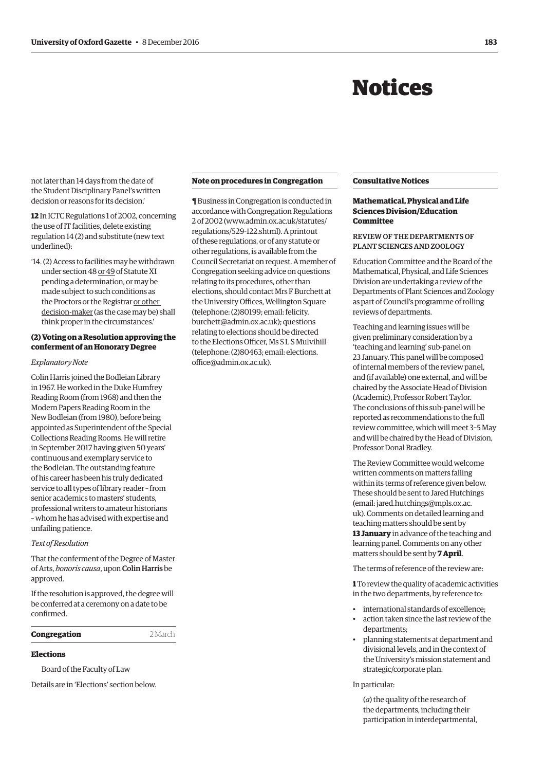## Notices

<span id="page-8-0"></span>not later than 14 days from the date of the Student Disciplinary Panel's written decision or reasons for its decision.'

**12** In ICTC Regulations 1 of 2002, concerning the use of IT facilities, delete existing regulation 14 (2) and substitute (new text underlined):

'14. (2) Access to facilities may be withdrawn under section 48 or 49 of Statute XI pending a determination, or may be made subject to such conditions as the Proctors or the Registrar or other decision-maker (as the case may be) shall think proper in the circumstances.'

#### **(2) Voting on a Resolution approving the conferment of an Honorary Degree**

#### *Explanatory Note*

Colin Harris joined the Bodleian Library in 1967. He worked in the Duke Humfrey Reading Room (from 1968) and then the Modern Papers Reading Room in the New Bodleian (from 1980), before being appointed as Superintendent of the Special Collections Reading Rooms. He will retire in September 2017 having given 50 years' continuous and exemplary service to the Bodleian. The outstanding feature of his career has been his truly dedicated service to all types of library reader – from senior academics to masters' students, professional writers to amateur historians – whom he has advised with expertise and unfailing patience.

#### *Text of Resolution*

That the conferment of the Degree of Master of Arts, *honoris causa*, upon Colin Harris be approved.

If the resolution is approved, the degree will be conferred at a ceremony on a date to be confirmed.

#### **Congregation** 2 March

#### **Elections**

Board of the Faculty of Law

Details are in '[Elections'](#page-15-0) section below.

#### **Note on procedures in Congregation**

¶ Business in Congregation is conducted in accordance with Congregation Regulations 2 of 2002 [\(www.admin.ox.ac.uk/statutes/](http://www.admin.ox.ac.uk/statutes/regulations/529-122.shtml) [regulations/529-122.shtml\). A p](http://www.admin.ox.ac.uk/statutes/regulations/529-122.shtml)rintout of these regulations, or of any statute or other regulations, is available from the Council Secretariat on request. A member of Congregation seeking advice on questions relating to its procedures, other than elections, should contact Mrs F Burchett at the University Offices, Wellington Square (telephone: (2)80199; email: felicity. [burchett@admin.ox.ac.uk\); questions](mailto:felicity.burchett@admin.ox.ac.uk)  relating to elections should be directed to the Elections Officer, Ms S L S Mulvihill [\(telephone: \(2\)80463; email: elections.](mailto:elections.office@admin.ox.ac.uk) office@admin.ox.ac.uk).

#### **Consultative Notices**

#### **Mathematical, Physical and Life Sciences Division/Education Committee**

#### REVIEW OF THE DEPARTMENTS OF PLANT SCIENCES AND ZOOLOGY

Education Committee and the Board of the Mathematical, Physical, and Life Sciences Division are undertaking a review of the Departments of Plant Sciences and Zoology as part of Council's programme of rolling reviews of departments.

Teaching and learning issues will be given preliminary consideration by a 'teaching and learning' sub-panel on 23 January. This panel will be composed of internal members of the review panel, and (if available) one external, and will be chaired by the Associate Head of Division (Academic), Professor Robert Taylor. The conclusions of this sub-panel will be reported as recommendations to the full review committee, which will meet 3–5 May and will be chaired by the Head of Division, Professor Donal Bradley.

The Review Committee would welcome written comments on matters falling within its terms of reference given below. These should be sent to Jared Hutchings (email: jared.hutchings@mpls.ox.ac. [uk\). Comments on detailed learning and](mailto:jared.hutchings@mpls.ox.ac.uk)  teaching matters should be sent by **13 January** in advance of the teaching and learning panel. Comments on any other matters should be sent by **7 April**.

The terms of reference of the review are:

**1** To review the quality of academic activities in the two departments, by reference to:

- international standards of excellence;
- action taken since the last review of the departments;
- planning statements at department and divisional levels, and in the context of the University's mission statement and strategic/corporate plan.

#### In particular:

(*a*) the quality of the research of the departments, including their participation in interdepartmental,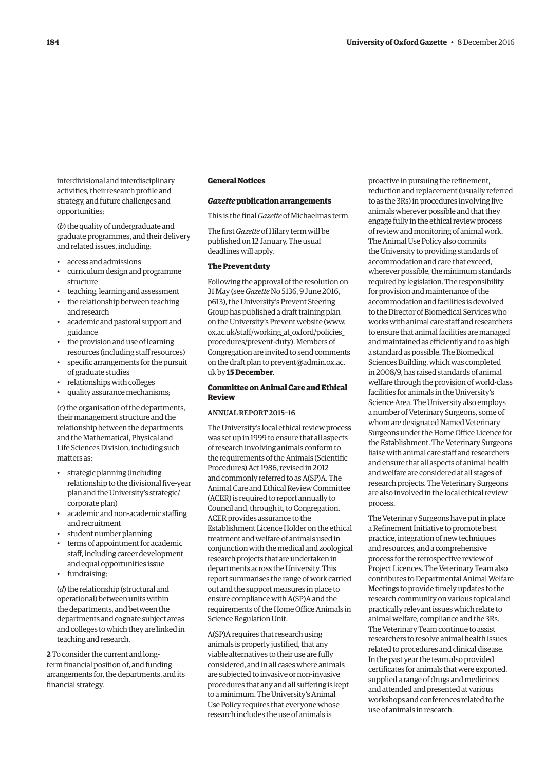interdivisional and interdisciplinary activities, their research profile and strategy, and future challenges and opportunities;

(*b*) the quality of undergraduate and graduate programmes, and their delivery and related issues, including:

- access and admissions
- curriculum design and programme structure
- teaching, learning and assessment
- the relationship between teaching and research
- academic and pastoral support and guidance
- the provision and use of learning resources (including staff resources)
- specific arrangements for the pursuit of graduate studies
- relationships with colleges
- quality assurance mechanisms;

(*c*) the organisation of the departments, their management structure and the relationship between the departments and the Mathematical, Physical and Life Sciences Division, including such matters as:

- strategic planning (including relationship to the divisional five-year plan and the University's strategic/ corporate plan)
- academic and non-academic staffing and recruitment
- student number planning
- terms of appointment for academic staff, including career development and equal opportunities issue
- fundraising;

(*d*) the relationship (structural and operational) between units within the departments, and between the departments and cognate subject areas and colleges to which they are linked in teaching and research.

**2** To consider the current and longterm financial position of, and funding arrangements for, the departments, and its financial strategy.

#### **General Notices**

#### *Gazette* **publication arrangements**

This is the final *Gazette* of Michaelmas term.

The first *Gazette* of Hilary term will be published on 12 January. The usual deadlines will apply.

#### **The Prevent duty**

Following the approval of the resolution on 31 May (see *Gazette* No 5136, 9 June 2016, [p613\), the University's Prevent Steering](http://www.ox.ac.uk/gazette/2015-2016/9june2016-no5136/councilandmaincommittees/#234267)  Group has published a draft training plan on the University's Prevent website [\(www.](http://www.ox.ac.uk/staff/working_at_oxford/policies_procedures/prevent-duty) [ox.ac.uk/staff/working\\_at\\_oxford/policies\\_](http://www.ox.ac.uk/staff/working_at_oxford/policies_procedures/prevent-duty) [procedures/prevent-duty\). M](http://www.ox.ac.uk/staff/working_at_oxford/policies_procedures/prevent-duty)embers of Congregation are invited to send comments [on the draft plan to prevent@admin.ox.ac.](mailto:prevent@admin.ox.ac.uk) uk by **15 December**.

#### **Committee on Animal Care and Ethical Review**

#### ANNUAL REPORT 2015–16

The University's local ethical review process was set up in 1999 to ensure that all aspects of research involving animals conform to the requirements of the Animals (Scientific Procedures) Act 1986, revised in 2012 and commonly referred to as A(SP)A. The Animal Care and Ethical Review Committee (ACER) is required to report annually to Council and, through it, to Congregation. ACER provides assurance to the Establishment Licence Holder on the ethical treatment and welfare of animals used in conjunction with the medical and zoological research projects that are undertaken in departments across the University. This report summarises the range of work carried out and the support measures in place to ensure compliance with A(SP)A and the requirements of the Home Office Animals in Science Regulation Unit.

A(SP)A requires that research using animals is properly justified, that any viable alternatives to their use are fully considered, and in all cases where animals are subjected to invasive or non-invasive procedures that any and all suffering is kept to a minimum. The University's Animal Use Policy requires that everyone whose research includes the use of animals is

proactive in pursuing the refinement, reduction and replacement (usually referred to as the 3Rs) in procedures involving live animals wherever possible and that they engage fully in the ethical review process of review and monitoring of animal work. The Animal Use Policy also commits the University to providing standards of accommodation and care that exceed, wherever possible, the minimum standards required by legislation. The responsibility for provision and maintenance of the accommodation and facilities is devolved to the Director of Biomedical Services who works with animal care staff and researchers to ensure that animal facilities are managed and maintained as efficiently and to as high a standard as possible. The Biomedical Sciences Building, which was completed in 2008/9, has raised standards of animal welfare through the provision of world-class facilities for animals in the University's Science Area. The University also employs a number of Veterinary Surgeons, some of whom are designated Named Veterinary Surgeons under the Home Office Licence for the Establishment. The Veterinary Surgeons liaise with animal care staff and researchers and ensure that all aspects of animal health and welfare are considered at all stages of research projects. The Veterinary Surgeons are also involved in the local ethical review process.

The Veterinary Surgeons have put in place a Refinement Initiative to promote best practice, integration of new techniques and resources, and a comprehensive process for the retrospective review of Project Licences. The Veterinary Team also contributes to Departmental Animal Welfare Meetings to provide timely updates to the research community on various topical and practically relevant issues which relate to animal welfare, compliance and the 3Rs. The Veterinary Team continue to assist researchers to resolve animal health issues related to procedures and clinical disease. In the past year the team also provided certificates for animals that were exported, supplied a range of drugs and medicines and attended and presented at various workshops and conferences related to the use of animals in research.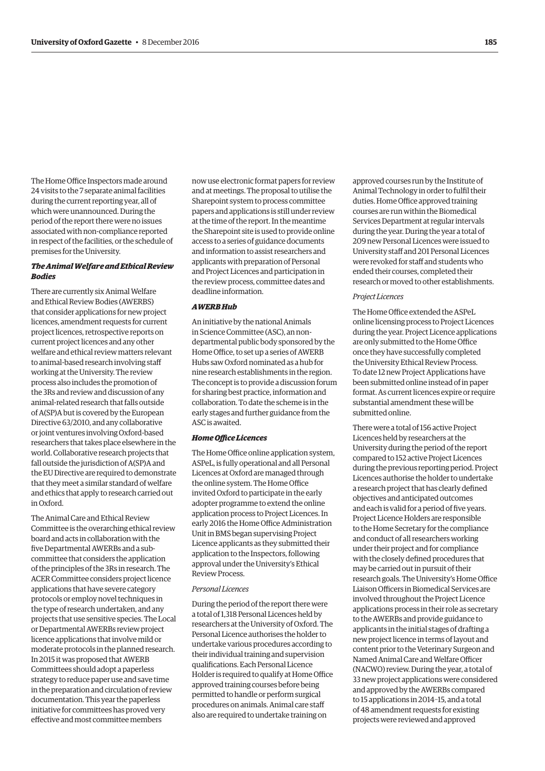The Home Office Inspectors made around 24 visits to the 7 separate animal facilities during the current reporting year, all of which were unannounced. During the period of the report there were no issues associated with non-compliance reported in respect of the facilities, or the schedule of premises for the University.

#### *The Animal Welfare and Ethical Review Bodies*

There are currently six Animal Welfare and Ethical Review Bodies (AWERBS) that consider applications for new project licences, amendment requests for current project licences, retrospective reports on current project licences and any other welfare and ethical review matters relevant to animal-based research involving staff working at the University. The review process also includes the promotion of the 3Rs and review and discussion of any animal-related research that falls outside of A(SP)A but is covered by the European Directive 63/2010, and any collaborative or joint ventures involving Oxford-based researchers that takes place elsewhere in the world. Collaborative research projects that fall outside the jurisdiction of A(SP)A and the EU Directive are required to demonstrate that they meet a similar standard of welfare and ethics that apply to research carried out in Oxford.

The Animal Care and Ethical Review Committee is the overarching ethical review board and acts in collaboration with the five Departmental AWERBs and a subcommittee that considers the application of the principles of the 3Rs in research. The ACER Committee considers project licence applications that have severe category protocols or employ novel techniques in the type of research undertaken, and any projects that use sensitive species. The Local or Departmental AWERBs review project licence applications that involve mild or moderate protocols in the planned research. In 2015 it was proposed that AWERB Committees should adopt a paperless strategy to reduce paper use and save time in the preparation and circulation of review documentation. This year the paperless initiative for committees has proved very effective and most committee members

now use electronic format papers for review and at meetings. The proposal to utilise the Sharepoint system to process committee papers and applications is still under review at the time of the report. In the meantime the Sharepoint site is used to provide online access to a series of guidance documents and information to assist researchers and applicants with preparation of Personal and Project Licences and participation in the review process, committee dates and deadline information.

#### *AWERB Hub*

An initiative by the national Animals in Science Committee (ASC), an nondepartmental public body sponsored by the Home Office, to set up a series of AWERB Hubs saw Oxford nominated as a hub for nine research establishments in the region. The concept is to provide a discussion forum for sharing best practice, information and collaboration. To date the scheme is in the early stages and further guidance from the ASC is awaited.

#### *Home Office Licences*

The Home Office online application system, ASPeL, is fully operational and all Personal Licences at Oxford are managed through the online system. The Home Office invited Oxford to participate in the early adopter programme to extend the online application process to Project Licences. In early 2016 the Home Office Administration Unit in BMS began supervising Project Licence applicants as they submitted their application to the Inspectors, following approval under the University's Ethical Review Process.

#### *Personal Licences*

During the period of the report there were a total of 1,318 Personal Licences held by researchers at the University of Oxford. The Personal Licence authorises the holder to undertake various procedures according to their individual training and supervision qualifications. Each Personal Licence Holder is required to qualify at Home Office approved training courses before being permitted to handle or perform surgical procedures on animals. Animal care staff also are required to undertake training on

approved courses run by the Institute of Animal Technology in order to fulfil their duties. Home Office approved training courses are run within the Biomedical Services Department at regular intervals during the year. During the year a total of 209 new Personal Licences were issued to University staff and 201 Personal Licences were revoked for staff and students who ended their courses, completed their research or moved to other establishments.

#### *Project Licences*

The Home Office extended the ASPeL online licensing process to Project Licences during the year. Project Licence applications are only submitted to the Home Office once they have successfully completed the University Ethical Review Process. To date 12 new Project Applications have been submitted online instead of in paper format. As current licences expire or require substantial amendment these will be submitted online.

There were a total of 156 active Project Licences held by researchers at the University during the period of the report compared to 152 active Project Licences during the previous reporting period. Project Licences authorise the holder to undertake a research project that has clearly defined objectives and anticipated outcomes and each is valid for a period of five years. Project Licence Holders are responsible to the Home Secretary for the compliance and conduct of all researchers working under their project and for compliance with the closely defined procedures that may be carried out in pursuit of their research goals. The University's Home Office Liaison Officers in Biomedical Services are involved throughout the Project Licence applications process in their role as secretary to the AWERBs and provide guidance to applicants in the initial stages of drafting a new project licence in terms of layout and content prior to the Veterinary Surgeon and Named Animal Care and Welfare Officer (NACWO) review. During the year, a total of 33 new project applications were considered and approved by the AWERBs compared to 15 applications in 2014–15, and a total of 48 amendment requests for existing projects were reviewed and approved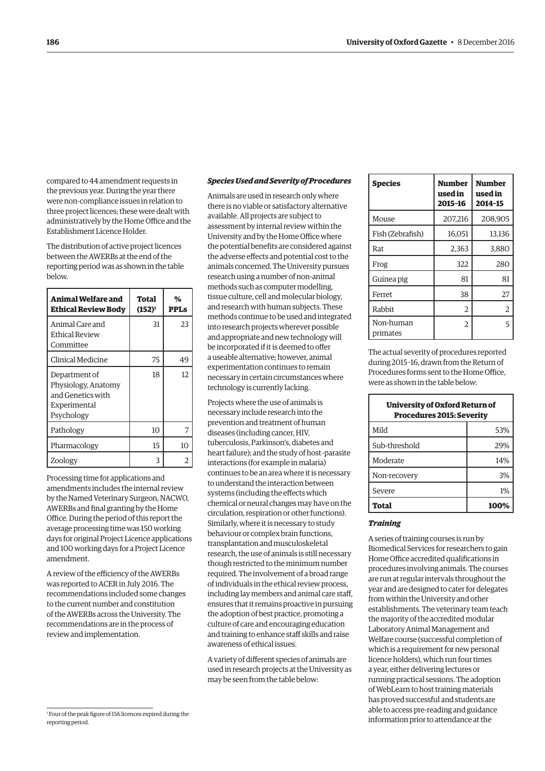compared to 44 amendment requests in the previous year. During the year there were non-compliance issues in relation to three project licences; these were dealt with administratively by the Home Office and the Establishment Licence Holder.

The distribution of active project licences between the AWERBs at the end of the reporting period was as shown in the table below.

| Animal Welfare and<br><b>Ethical Review Body</b>                                        | Total<br>$(152)^1$ | %<br><b>PPLs</b> |
|-----------------------------------------------------------------------------------------|--------------------|------------------|
| Animal Care and<br><b>Ethical Review</b><br>Committee                                   | 31                 | 23               |
| Clinical Medicine                                                                       | 75                 | 49               |
| Department of<br>Physiology, Anatomy<br>and Genetics with<br>Experimental<br>Psychology | 18                 | 12.              |
| Pathology                                                                               | 10                 | 7                |
| Pharmacology                                                                            | 15                 | 10               |
| Zoology                                                                                 | 3                  | 2                |

Processing time for applications and amendments includes the internal review by the Named Veterinary Surgeon, NACWO, AWERBs and final granting by the Home Office. During the period of this report the average processing time was 150 working days for original Project Licence applications and 100 working days for a Project Licence amendment.

A review of the efficiency of the AWERBs was reported to ACER in July 2016. The recommendations included some changes to the current number and constitution of the AWERBs across the University. The recommendations are in the process of review and implementation.

#### *Species Used and Severity of Procedures*

Animals are used in research only where there is no viable or satisfactory alternative available. All projects are subject to assessment by internal review within the University and by the Home Office where the potential benefits are considered against the adverse effects and potential cost to the animals concerned. The University pursues research using a number of non-animal methods such as computer modelling, tissue culture, cell and molecular biology, and research with human subjects. These methods continue to be used and integrated into research projects wherever possible and appropriate and new technology will be incorporated if it is deemed to offer a useable alternative; however, animal experimentation continues to remain necessary in certain circumstances where technology is currently lacking.

Projects where the use of animals is necessary include research into the prevention and treatment of human diseases (including cancer, HIV, tuberculosis, Parkinson's, diabetes and heart failure); and the study of host–parasite interactions (for example in malaria) continues to be an area where it is necessary to understand the interaction between systems (including the effects which chemical or neural changes may have on the circulation, respiration or other functions). Similarly, where it is necessary to study behaviour or complex brain functions, transplantation and musculoskeletal research, the use of animals is still necessary though restricted to the minimum number required. The involvement of a broad range of individuals in the ethical review process, including lay members and animal care staff, ensures that it remains proactive in pursuing the adoption of best practice, promoting a culture of care and encouraging education and training to enhance staff skills and raise awareness of ethical issues.

A variety of different species of animals are used in research projects at the University as may be seen from the table below:

**Species Number used in 2015–16 Number used in 2014–15**  Mouse 207,216 208,905 Fish (Zebrafish) | 16,051 | 13,136 Rat 1 2.363 3.880 Frog 322 280 Guinea pig  $\begin{array}{|c|c|c|c|c|} \hline \text{G} & \text{B1} & \text{B1} \end{array}$ Ferret 1 38 27 Rabbit  $\begin{array}{ccc} 2 & 2 \end{array}$ Non-human primates 2 5

The actual severity of procedures reported during 2015–16, drawn from the Return of Procedures forms sent to the Home Office, were as shown in the table below:

| University of Oxford Return of<br><b>Procedures 2015: Severity</b> |      |
|--------------------------------------------------------------------|------|
| Mild                                                               | 53%  |
| Sub-threshold                                                      | 29%  |
| Moderate                                                           | 14%  |
| Non-recovery                                                       | 3%   |
| Severe                                                             | 1%   |
| Total                                                              | 100% |

#### *Training*

A series of training courses is run by Biomedical Services for researchers to gain Home Office accredited qualifications in procedures involving animals. The courses are run at regular intervals throughout the year and are designed to cater for delegates from within the University and other establishments. The veterinary team teach the majority of the accredited modular Laboratory Animal Management and Welfare course (successful completion of which is a requirement for new personal licence holders), which run four times a year, either delivering lectures or running practical sessions. The adoption of WebLearn to host training materials has proved successful and students are able to access pre-reading and guidance information prior to attendance at the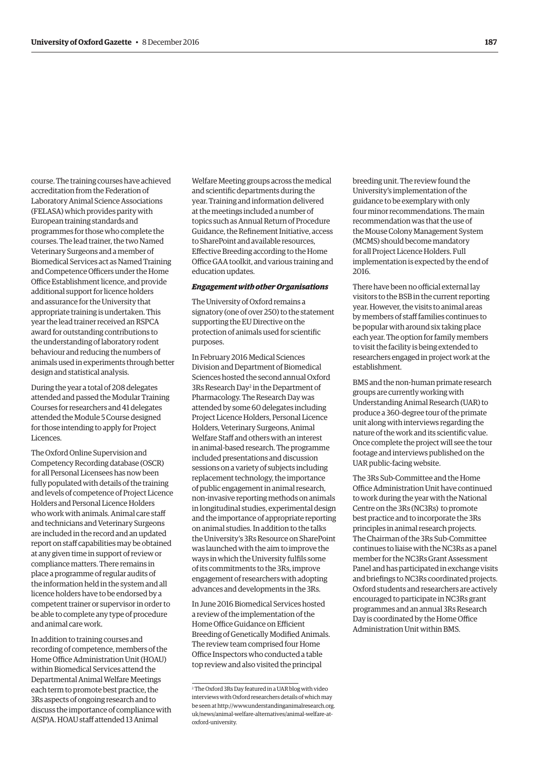course. The training courses have achieved accreditation from the Federation of Laboratory Animal Science Associations (FELASA) which provides parity with European training standards and programmes for those who complete the courses. The lead trainer, the two Named Veterinary Surgeons and a member of Biomedical Services act as Named Training and Competence Officers under the Home Office Establishment licence, and provide additional support for licence holders and assurance for the University that appropriate training is undertaken. This year the lead trainer received an RSPCA award for outstanding contributions to the understanding of laboratory rodent behaviour and reducing the numbers of animals used in experiments through better design and statistical analysis.

During the year a total of 208 delegates attended and passed the Modular Training Courses for researchers and 41 delegates attended the Module 5 Course designed for those intending to apply for Project Licences.

The Oxford Online Supervision and Competency Recording database (OSCR) for all Personal Licensees has now been fully populated with details of the training and levels of competence of Project Licence Holders and Personal Licence Holders who work with animals. Animal care staff and technicians and Veterinary Surgeons are included in the record and an updated report on staff capabilities may be obtained at any given time in support of review or compliance matters. There remains in place a programme of regular audits of the information held in the system and all licence holders have to be endorsed by a competent trainer or supervisor in order to be able to complete any type of procedure and animal care work.

In addition to training courses and recording of competence, members of the Home Office Administration Unit (HOAU) within Biomedical Services attend the Departmental Animal Welfare Meetings each term to promote best practice, the 3Rs aspects of ongoing research and to discuss the importance of compliance with A(SP)A. HOAU staff attended 13 Animal

Welfare Meeting groups across the medical and scientific departments during the year. Training and information delivered at the meetings included a number of topics such as Annual Return of Procedure Guidance, the Refinement Initiative, access to SharePoint and available resources, Effective Breeding according to the Home Office GAA toolkit, and various training and education updates.

#### *Engagement with other Organisations*

The University of Oxford remains a signatory (one of over 250) to the statement supporting the EU Directive on the protection of animals used for scientific purposes.

In February 2016 Medical Sciences Division and Department of Biomedical Sciences hosted the second annual Oxford 3Rs Research Day<sup>2</sup> in the Department of Pharmacology. The Research Day was attended by some 60 delegates including Project Licence Holders, Personal Licence Holders, Veterinary Surgeons, Animal Welfare Staff and others with an interest in animal-based research. The programme included presentations and discussion sessions on a variety of subjects including replacement technology, the importance of public engagement in animal research, non-invasive reporting methods on animals in longitudinal studies, experimental design and the importance of appropriate reporting on animal studies. In addition to the talks the University's 3Rs Resource on SharePoint was launched with the aim to improve the ways in which the University fulfils some of its commitments to the 3Rs, improve engagement of researchers with adopting advances and developments in the 3Rs.

In June 2016 Biomedical Services hosted a review of the implementation of the Home Office Guidance on Efficient Breeding of Genetically Modified Animals. The review team comprised four Home Office Inspectors who conducted a table top review and also visited the principal

breeding unit. The review found the University's implementation of the guidance to be exemplary with only four minor recommendations. The main recommendation was that the use of the Mouse Colony Management System (MCMS) should become mandatory for all Project Licence Holders. Full implementation is expected by the end of 2016.

There have been no official external lay visitors to the BSB in the current reporting year. However, the visits to animal areas by members of staff families continues to be popular with around six taking place each year. The option for family members to visit the facility is being extended to researchers engaged in project work at the establishment.

BMS and the non-human primate research groups are currently working with Understanding Animal Research (UAR) to produce a 360-degree tour of the primate unit along with interviews regarding the nature of the work and its scientific value. Once complete the project will see the tour footage and interviews published on the UAR public-facing website.

The 3Rs Sub-Committee and the Home Office Administration Unit have continued to work during the year with the National Centre on the 3Rs (NC3Rs) to promote best practice and to incorporate the 3Rs principles in animal research projects. The Chairman of the 3Rs Sub-Committee continues to liaise with the NC3Rs as a panel member for the NC3Rs Grant Assessment Panel and has participated in exchange visits and briefings to NC3Rs coordinated projects. Oxford students and researchers are actively encouraged to participate in NC3Rs grant programmes and an annual 3Rs Research Day is coordinated by the Home Office Administration Unit within BMS.

<sup>2</sup> The Oxford 3Rs Day featured in a UAR blog with video interviews with Oxford researchers details of which may [be seen at http://www.understandinganimalresearch.org.](http://www.understandinganimalresearch.org.uk/news/animal-welfare-alternatives/animal-welfare-at-oxford-university) uk/news/animal-welfare-alternatives/animal-welfare-atoxford-university.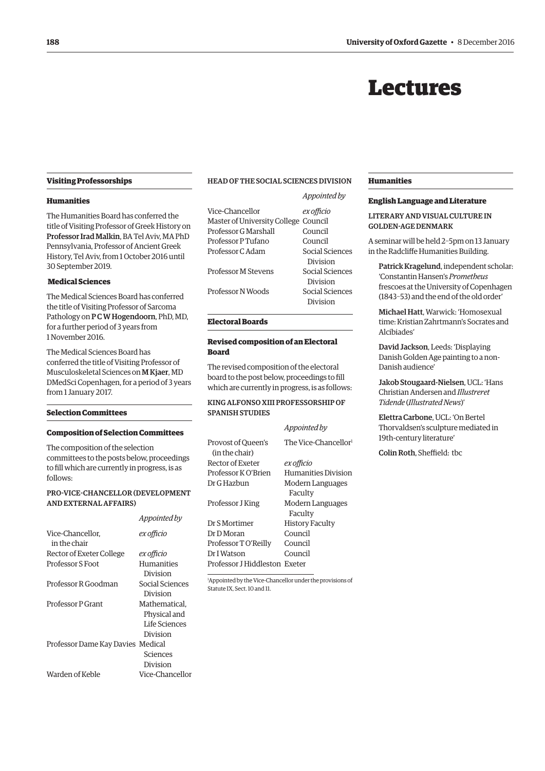### Lectures

#### <span id="page-13-0"></span>**Visiting Professorships**

#### **Humanities**

The Humanities Board has conferred the title of Visiting Professor of Greek History on Professor Irad Malkin, BA Tel Aviv, MA PhD Pennsylvania, Professor of Ancient Greek History, Tel Aviv, from 1 October 2016 until 30 September 2019.

#### **Medical Sciences**

The Medical Sciences Board has conferred the title of Visiting Professor of Sarcoma Pathology on P C W Hogendoorn, PhD, MD, for a further period of 3 years from 1 November 2016.

The Medical Sciences Board has conferred the title of Visiting Professor of Musculoskeletal Sciences on M Kjaer, MD DMedSci Copenhagen, for a period of 3 years from 1 January 2017.

#### **Selection Committees**

#### **Composition of Selection Committees**

The composition of the selection committees to the posts below, proceedings to fill which are currently in progress, is as follows:

#### PRO-VICE-CHANCELLOR (DEVELOPMENT AND EXTERNAL AFFAIRS)

|                                   | Appointed by      |
|-----------------------------------|-------------------|
| Vice-Chancellor.<br>in the chair  | ex officio        |
| Rector of Exeter College          | ex officio        |
| <b>Professor S Foot</b>           | <b>Humanities</b> |
|                                   | Division          |
| Professor R Goodman               | Social Sciences   |
|                                   | Division          |
| Professor P Grant                 | Mathematical.     |
|                                   | Physical and      |
|                                   | Life Sciences     |
|                                   | Division          |
| Professor Dame Kay Davies Medical |                   |
|                                   | Sciences          |
|                                   | Division          |
| Warden of Keble                   | Vice-Chancellor   |
|                                   |                   |

#### HEAD OF THE SOCIAL SCIENCES DIVISION

*Appointed by*

|                                      | Appointed by    |
|--------------------------------------|-----------------|
| Vice-Chancellor                      | ex officio      |
| Master of University College Council |                 |
| Professor G Marshall                 | Council         |
| Professor P Tufano                   | Council         |
| Professor C Adam                     | Social Sciences |
|                                      | Division        |
| Professor M Stevens                  | Social Sciences |
|                                      | Division        |
| Professor N Woods                    | Social Sciences |
|                                      | Division        |

#### **Electoral Boards**

#### **Revised composition of an Electoral Board**

The revised composition of the electoral board to the post below, proceedings to fill which are currently in progress, is as follows:

#### KING ALFONSO XIII PROFESSORSHIP OF SPANISH STUDIES

|                                      | Appointed by                     |
|--------------------------------------|----------------------------------|
| Provost of Oueen's<br>(in the chair) | The Vice-Chancellor <sup>1</sup> |
| Rector of Exeter                     | ex officio                       |
| Professor K O'Brien                  | Humanities Division              |
| Dr G Hazbun                          | Modern Languages                 |
|                                      | Faculty                          |
| Professor J King                     | Modern Languages                 |
|                                      | Faculty                          |
| Dr S Mortimer                        | <b>History Faculty</b>           |
| Dr D Moran                           | Council                          |
| Professor TO'Reilly                  | Council                          |
| Dr I Watson                          | Council                          |
| Professor J Hiddleston Exeter        |                                  |
|                                      |                                  |

1 Appointed by the Vice-Chancellor under the provisions of Statute IX, Sect. 10 and 11.

#### **Humanities**

#### **English Language and Literature**

#### LITERARY AND VISUAL CULTURE IN GOLDEN-AGE DENMARK

A seminar will be held 2–5pm on 13 January in the Radcliffe Humanities Building.

Patrick Kragelund, independent scholar: 'Constantin Hansen's *Prometheus* frescoes at the University of Copenhagen (1843–53) and the end of the old order'

Michael Hatt, Warwick: 'Homosexual time: Kristian Zahrtmann's Socrates and Alcibiades'

David Jackson, Leeds: 'Displaying Danish Golden Age painting to a non-Danish audience'

Jakob Stougaard-Nielsen, UCL: 'Hans Christian Andersen and *Illustreret Tidende* (*Illustrated News*)'

Elettra Carbone, UCL: 'On Bertel Thorvaldsen's sculpture mediated in 19th-century literature'

Colin Roth, Sheffield: tbc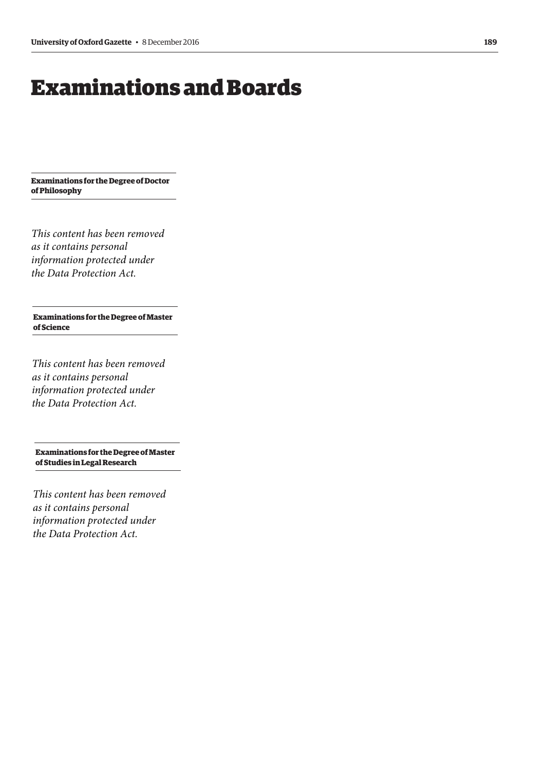## <span id="page-14-0"></span>Examinations and Boards

**Examinations for the Degree of Doctor of Philosophy**

*This content has been removed as it contains personal information protected under the Data Protection Act.*

**Examinations for the Degree of Master of Science**

*This content has been removed as it contains personal information protected under the Data Protection Act.*

**Examinations for the Degree of Master of Studies in Legal Research**

*This content has been removed as it contains personal information protected under the Data Protection Act.*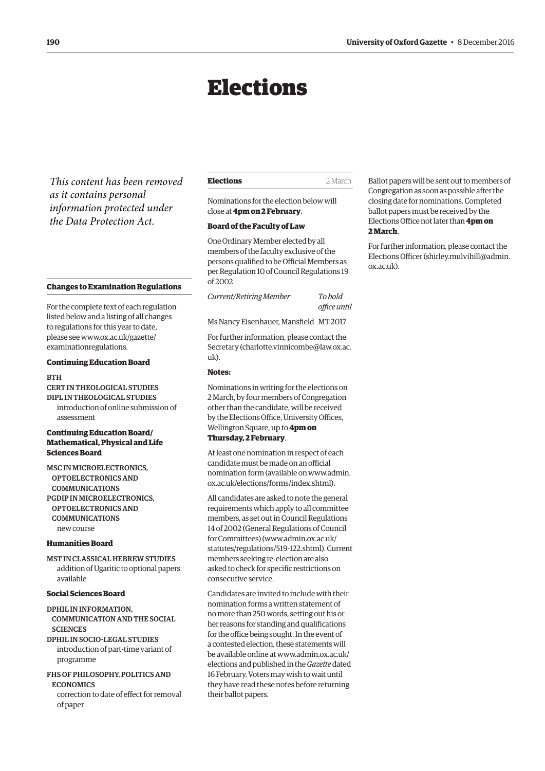## Elections

<span id="page-15-0"></span>*This content has been removed as it contains personal information protected under the Data Protection Act.*

#### **Changes to Examination Regulations**

For the complete text of each regulation listed below and a listing of all changes to regulations for this year to date, [please see www.ox.ac.uk/gazette/](www.ox.ac.uk/gazette/examinationregulations) examinationregulations.

#### **Continuing Education Board**

#### **BTH**

CERT IN THEOLOGICAL STUDIES DIPL IN THEOLOGICAL STUDIES introduction of online submission of assessment

#### **Continuing Education Board/ Mathematical, Physical and Life Sciences Board**

MSC IN MICROELECTRONICS, OPTOELECTRONICS AND **COMMUNICATIONS** PGDIP IN MICROELECTRONICS, OPTOELECTRONICS AND COMMUNICATIONS new course

#### **Humanities Board**

MST IN CLASSICAL HEBREW STUDIES addition of Ugaritic to optional papers available

#### **Social Sciences Board**

DPHIL IN INFORMATION, COMMUNICATION AND THE SOCIAL **SCIENCES** 

DPHIL IN SOCIO-LEGAL STUDIES introduction of part-time variant of programme

FHS OF PHILOSOPHY, POLITICS AND **ECONOMICS** 

correction to date of effect for removal of paper

| Elections | 2 March |
|-----------|---------|
|           |         |

Nominations for the election below will close at **4pm on 2 February**.

#### **Board of the Faculty of Law**

One Ordinary Member elected by all members of the faculty exclusive of the persons qualified to be Official Members as per Regulation 10 of Council Regulations 19 of 2002

*Current/Retiring Member To hold office until*

Ms Nancy Eisenhauer, Mansfield MT 2017

For further information, please contact the Secretary ([charlotte.vinnicombe@law.ox.ac.](mailto:charlotte.vinnicombe@law.ox.ac.uk) [uk\).](mailto:charlotte.vinnicombe@law.ox.ac.uk)

#### **Notes:**

Nominations in writing for the elections on 2 March, by four members of Congregation other than the candidate, will be received by the Elections Office, University Offices, Wellington Square, up to **4pm on Thursday, 2 February**.

At least one nomination in respect of each candidate must be made on an official [nomination form \(available on www.admin.](www.admin.ox.ac.uk/elections/forms/index.shtml) ox.ac.uk/elections/forms/index.shtml).

All candidates are asked to note the general requirements which apply to all committee members, as set out in Council Regulations 14 of 2002 (General Regulations of Council for Committees) [\(www.admin.ox.ac.uk/](http://www.admin.ox.ac.uk/statutes/regulations/519-122.shtml) [statutes/regulations/519-122.shtml\). Cu](http://www.admin.ox.ac.uk/statutes/regulations/519-122.shtml)rrent members seeking re-election are also asked to check for specific restrictions on consecutive service.

Candidates are invited to include with their nomination forms a written statement of no more than 250 words, setting out his or her reasons for standing and qualifications for the office being sought. In the event of a contested election, these statements will [be available online at www.admin.ox.ac.uk/](www.admin.ox.ac.uk/elections) elections and published in the *Gazette* dated 16 February. Voters may wish to wait until they have read these notes before returning their ballot papers.

Ballot papers will be sent out to members of Congregation as soon as possible after the closing date for nominations. Completed ballot papers must be received by the Elections Office not later than **4pm on 2 March**.

For further information, please contact the Elections Officer [\(shirley.mulvihill@admin.](mailto:shirley.mulvihill@admin.ox.ac.uk) [ox.ac.uk\).](mailto:shirley.mulvihill@admin.ox.ac.uk)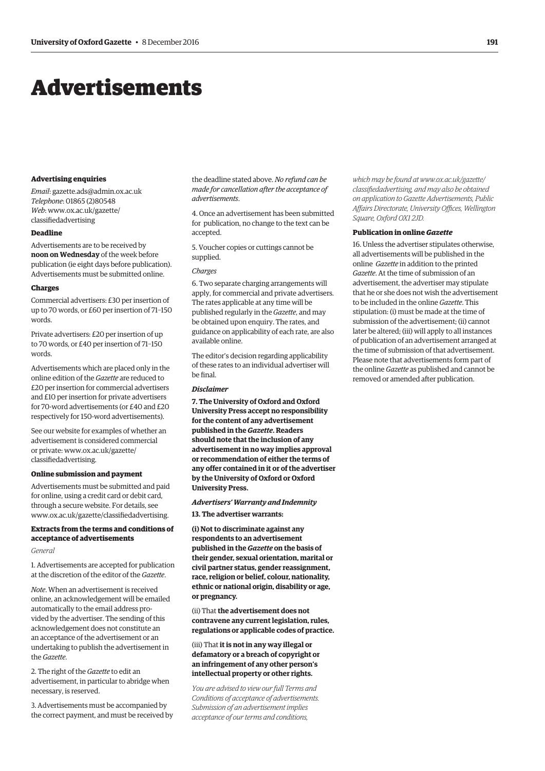## <span id="page-16-0"></span>Advertisements

#### **Advertising enquiries**

*Email*: [gazette.ads@admin.ox.ac.uk](mailto:gazette.ads@admin.ox.ac.uk) *Telephone*: 01865 (2)80548 *Web*[: www.ox.ac.uk/gazette/](www.ox.ac.uk/gazette/classifiedadvertising) classifiedadvertising

#### **Deadline**

Advertisements are to be received by **noon on Wednesday** of the week before publication (ie eight days before publication). Advertisements must be submitted online.

#### **Charges**

Commercial advertisers: £30 per insertion of up to 70 words, or £60 per insertion of 71–150 words.

Private advertisers: £20 per insertion of up to 70 words, or £40 per insertion of 71–150 words.

Advertisements which are placed only in the online edition of the *Gazette* are reduced to £20 per insertion for commercial advertisers and £10 per insertion for private advertisers for 70-word advertisements (or £40 and £20 respectively for 150-word advertisements).

See our website for examples of whether an advertisement is considered commercial [or private: www.ox.ac.uk/gazette/](www.ox.ac.uk/gazette/classifiedadvertising) classifiedadvertising.

#### **Online submission and payment**

Advertisements must be submitted and paid for online, using a credit card or debit card, through a secure website. For details, see [www.ox.ac.uk/gazette/classifiedadvertising.](http://www.ox.ac.uk/gazette/classifiedadvertising)

#### **Extracts from the terms and conditions of acceptance of advertisements**

#### *General*

1. Advertisements are accepted for publication at the discretion of the editor of the *Gazette*.

*Note*. When an advertisement is received online, an acknowledgement will be emailed automatically to the email address provided by the advertiser. The sending of this acknowledgement does not constitute an an acceptance of the advertisement or an undertaking to publish the advertisement in the *Gazette*.

2. The right of the *Gazette* to edit an advertisement, in particular to abridge when necessary, is reserved.

3. Advertisements must be accompanied by the correct payment, and must be received by

the deadline stated above. *No refund can be made for cancellation after the acceptance of advertisements*.

4. Once an advertisement has been submitted for publication, no change to the text can be accepted.

5. Voucher copies or cuttings cannot be supplied.

#### *Charges*

6. Two separate charging arrangements will apply, for commercial and private advertisers. The rates applicable at any time will be published regularly in the *Gazette*, and may be obtained upon enquiry. The rates, and guidance on applicability of each rate, are also available online.

The editor's decision regarding applicability of these rates to an individual advertiser will be final.

#### *Disclaimer*

**7. The University of Oxford and Oxford University Press accept no responsibility for the content of any advertisement published in the** *Gazette***. Readers should note that the inclusion of any advertisement in no way implies approval or recommendation of either the terms of any offer contained in it or of the advertiser by the University of Oxford or Oxford University Press.**

#### *Advertisers' Warranty and Indemnity*

**13. The advertiser warrants:**

**(i) Not to discriminate against any respondents to an advertisement published in the** *Gazette* **on the basis of their gender, sexual orientation, marital or civil partner status, gender reassignment, race, religion or belief, colour, nationality, ethnic or national origin, disability or age, or pregnancy.**

(ii) That **the advertisement does not contravene any current legislation, rules, regulations or applicable codes of practice.** 

#### (iii) That **it is not in any way illegal or defamatory or a breach of copyright or an infringement of any other person's intellectual property or other rights.**

*You are advised to view our full Terms and Conditions of acceptance of advertisements. Submission of an advertisement implies acceptance of our terms and conditions,* 

*which may be found at www.ox.ac.uk/gazette/ [classifiedadvertising, and may also be obtained](www.ox.ac.uk/gazette/classifiedadvertising)  on application to Gazette Advertisements, Public Affairs Directorate, University Offices, Wellington Square, Oxford OX1 2JD.*

#### **Publication in online** *Gazette*

16. Unless the advertiser stipulates otherwise, all advertisements will be published in the online *Gazette* in addition to the printed *Gazette*. At the time of submission of an advertisement, the advertiser may stipulate that he or she does not wish the advertisement to be included in the online *Gazette*. This stipulation: (i) must be made at the time of submission of the advertisement; (ii) cannot later be altered; (iii) will apply to all instances of publication of an advertisement arranged at the time of submission of that advertisement. Please note that advertisements form part of the online *Gazette* as published and cannot be removed or amended after publication.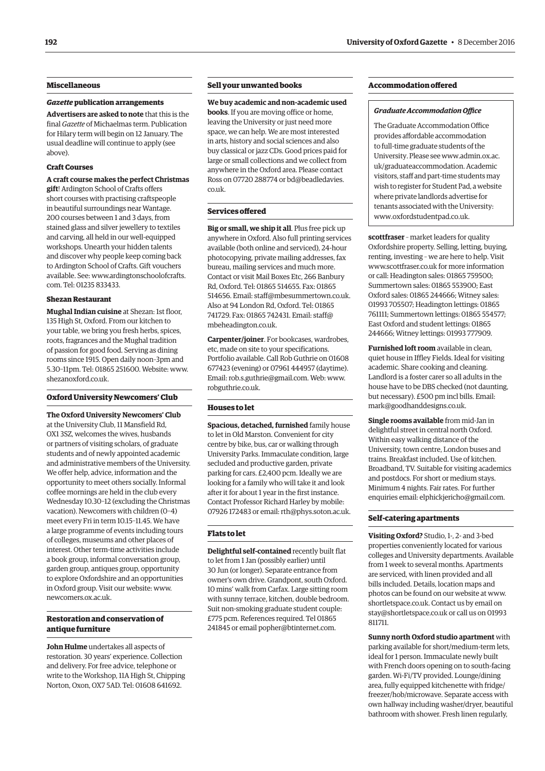#### **Miscellaneous**

#### *Gazette* **publication arrangements**

**Advertisers are asked to note** that this is the final *Gazette* of Michaelmas term. Publication for Hilary term will begin on 12 January. The usual deadline will continue to apply (see above).

#### **Craft Courses**

**A craft course makes the perfect Christmas gift**! Ardington School of Crafts offers short courses with practising craftspeople in beautiful surroundings near Wantage. 200 courses between 1 and 3 days, from stained glass and silver jewellery to textiles and carving, all held in our well-equipped workshops. Unearth your hidden talents and discover why people keep coming back to Ardington School of Crafts. Gift vouchers [available. See: www.ardingtonschoolofcrafts.](www.ardingtonschoolofcrafts.com) com. Tel: 01235 833433.

#### **Shezan Restaurant**

**Mughal Indian cuisine** at Shezan: 1st floor, 135 High St, Oxford. From our kitchen to your table, we bring you fresh herbs, spices, roots, fragrances and the Mughal tradition of passion for good food. Serving as dining rooms since 1915. Open daily noon–3pm and 5.30–11pm. Tel: 01865 251600. Website: [www.](http://www.shezanoxford.co.uk) [shezanoxford.co.uk.](http://www.shezanoxford.co.uk)

#### **Oxford University Newcomers' Club**

**The Oxford University Newcomers' Club** at the University Club, 11 Mansfield Rd, OX1 3SZ, welcomes the wives, husbands or partners of visiting scholars, of graduate students and of newly appointed academic and administrative members of the University. We offer help, advice, information and the opportunity to meet others socially. Informal coffee mornings are held in the club every Wednesday 10.30–12 (excluding the Christmas vacation). Newcomers with children (0–4) meet every Fri in term 10.15–11.45. We have a large programme of events including tours of colleges, museums and other places of interest. Other term-time activities include a book group, informal conversation group, garden group, antiques group, opportunity to explore Oxfordshire and an opportunities in Oxford group. Visit our website: [www.](http://www.newcomers.ox.ac.uk) [newcomers.ox.ac.uk.](http://www.newcomers.ox.ac.uk)

#### **Restoration and conservation of antique furniture**

**John Hulme** undertakes all aspects of restoration. 30 years' experience. Collection and delivery. For free advice, telephone or write to the Workshop, 11A High St, Chipping Norton, Oxon, OX7 5AD. Tel: 01608 641692.

#### **Sell your unwanted books**

**We buy academic and non-academic used books**. If you are moving office or home, leaving the University or just need more space, we can help. We are most interested in arts, history and social sciences and also buy classical or jazz CDs. Good prices paid for large or small collections and we collect from anywhere in the Oxford area. Please contact [Ross on 07720 288774 or bd@beadledavies.](mailto:bd@beadledavies.co.uk) co.uk.

#### **Services offered**

**Big or small, we ship it all**. Plus free pick up anywhere in Oxford. Also full printing services available (both online and serviced), 24-hour photocopying, private mailing addresses, fax bureau, mailing services and much more. Contact or visit Mail Boxes Etc, 266 Banbury Rd, Oxford. Tel: 01865 514655. Fax: 01865 514656. Email: [staff@mbesummertown.co.uk.](mailto:staff@mbesummertown.co.uk)  Also at 94 London Rd, Oxford. Tel: 01865 [741729. Fax: 01865 742431. Email: staff@](mailto:staff@mbeheadington.co.uk) mbeheadington.co.uk.

**Carpenter/joiner**. For bookcases, wardrobes, etc, made on site to your specifications. Portfolio available. Call Rob Guthrie on 01608 677423 (evening) or 07961 444957 (daytime). Email: [rob.s.guthrie@gmail.com. We](mailto:rob.s.guthrie@gmail.com)b: [www.](http://www.robguthrie.co.uk) [robguthrie.co.uk.](http://www.robguthrie.co.uk)

#### **Houses to let**

**Spacious, detached, furnished** family house to let in Old Marston. Convenient for city centre by bike, bus, car or walking through University Parks. Immaculate condition, large secluded and productive garden, private parking for cars. £2,400 pcm. Ideally we are looking for a family who will take it and look after it for about 1 year in the first instance. Contact Professor Richard Harley by mobile: 07926 172483 or email: [rth@phys.soton.ac.uk.](mailto:rth@phys.soton.ac.uk)

#### **Flats to let**

**Delightful self-contained** recently built flat to let from 1 Jan (possibly earlier) until 30 Jun (or longer). Separate entrance from owner's own drive. Grandpont, south Oxford. 10 mins' walk from Carfax. Large sitting room with sunny terrace, kitchen, double bedroom. Suit non-smoking graduate student couple: £775 pcm. References required. Tel 01865 241845 or email [popher@btinternet.com.](mailto:popher@btinternet.com)

#### **Accommodation offered**

#### *Graduate Accommodation Office*

The Graduate Accommodation Office provides affordable accommodation to full-time graduate students of the [University. Please see www.admin.ox.ac.](www.admin.ox.ac.uk/graduateaccommodation) uk/graduateaccommodation. Academic visitors, staff and part-time students may wish to register for Student Pad, a website where private landlords advertise for tenants associated with the University: [www.oxfordstudentpad.co.uk.](http://www.oxfordstudentpad.co.uk)

**scottfraser** – market leaders for quality Oxfordshire property. Selling, letting, buying, renting, investing – we are here to help. Visit [www.scottfraser.co.uk for](http://www.scottfraser.co.uk) more information or call: Headington sales: 01865 759500; Summertown sales: 01865 553900; East Oxford sales: 01865 244666; Witney sales: 01993 705507; Headington lettings: 01865 761111; Summertown lettings: 01865 554577; East Oxford and student lettings: 01865 244666; Witney lettings: 01993 777909.

**Furnished loft room** available in clean, quiet house in Iffley Fields. Ideal for visiting academic. Share cooking and cleaning. Landlord is a foster carer so all adults in the house have to be DBS checked (not daunting, but necessary). £500 pm incl bills. Email: [mark@goodhanddesigns.co.uk.](mailto:mark@goodhanddesigns.co.uk)

**Single rooms available** from mid-Jan in delightful street in central north Oxford. Within easy walking distance of the University, town centre, London buses and trains. Breakfast included. Use of kitchen. Broadband, TV. Suitable for visiting academics and postdocs. For short or medium stays. Minimum 4 nights. Fair rates. For further enquiries email: [elphickjericho@gmail.com.](mailto:elphickjericho@gmail.com)

#### **Self-catering apartments**

**Visiting Oxford?** Studio, 1-, 2- and 3-bed properties conveniently located for various colleges and University departments. Available from 1 week to several months. Apartments are serviced, with linen provided and all bills included. Details, location maps and photos can be found on our website at [www.](http://www.shortletspace.co.uk) [shortletspace.co.uk. Co](http://www.shortletspace.co.uk)ntact us by email on [stay@shortletspace.co.uk or](mailto:stay@shortletspace.co.uk) call us on 01993 811711.

**Sunny north Oxford studio apartment** with parking available for short/medium-term lets, ideal for 1 person. Immaculate newly built with French doors opening on to south-facing garden. Wi-Fi/TV provided. Lounge/dining area, fully equipped kitchenette with fridge/ freezer/hob/microwave. Separate access with own hallway including washer/dryer, beautiful bathroom with shower. Fresh linen regularly,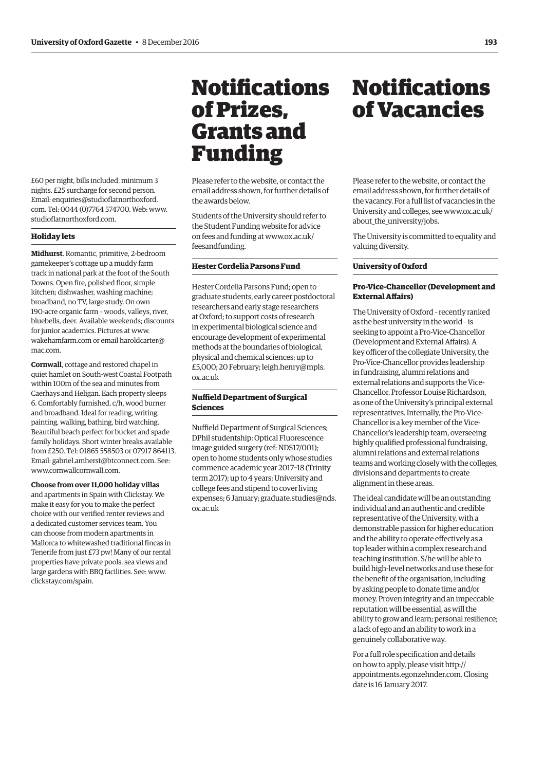<span id="page-18-0"></span>£60 per night, bills included, minimum 3 nights. £25 surcharge for second person. Email: enquiries@studioflatnorthoxford. com. Tel: 0044 (0)7764 574700. Web: [www.](http://www.studioflatnorthoxford.com) [studioflatnorthoxford.com.](http://www.studioflatnorthoxford.com)

#### **Holiday lets**

**Midhurst**. Romantic, primitive, 2-bedroom gamekeeper's cottage up a muddy farm track in national park at the foot of the South Downs. Open fire, polished floor, simple kitchen; dishwasher, washing machine; broadband, no TV, large study. On own 190-acre organic farm – woods, valleys, river, bluebells, deer. Available weekends; discounts for junior academics. Pictures at [www.](http://www.wakehamfarm.com) [wakehamfarm.com or](http://www.wakehamfarm.com) e[mail haroldcarter@](mailto:haroldcarter@mac.com) mac.com.

**Cornwall**, cottage and restored chapel in quiet hamlet on South-west Coastal Footpath within 100m of the sea and minutes from Caerhays and Heligan. Each property sleeps 6. Comfortably furnished, c/h, wood burner and broadband. Ideal for reading, writing, painting, walking, bathing, bird watching. Beautiful beach perfect for bucket and spade family holidays. Short winter breaks available from £250. Tel: 01865 558503 or 07917 864113. Email: [gabriel.amherst@btconnect.com. Se](mailto:gabriel.amherst@btconnect.com)e: [www.cornwallcornwall.com.](http://www.cornwallcornwall.com)

**Choose from over 11,000 holiday villas** and apartments in Spain with Clickstay. We make it easy for you to make the perfect choice with our verified renter reviews and a dedicated customer services team. You can choose from modern apartments in Mallorca to whitewashed traditional fincas in Tenerife from just £73 pw! Many of our rental properties have private pools, sea views and large gardens with BBQ facilities. See: [www.](http://www.clickstay.com/spain) [clickstay.com/spain.](http://www.clickstay.com/spain)

## Notifications of Prizes, Grants and Funding

Please refer to the website, or contact the email address shown, for further details of the awards below.

Students of the University should refer to the Student Funding website for advice [on fees and funding at www.ox.ac.uk/](www.ox.ac.uk/feesandfunding) feesandfunding.

#### **Hester Cordelia Parsons Fund**

Hester Cordelia Parsons Fund; open to graduate students, early career postdoctoral researchers and early stage researchers at Oxford; to support costs of research in experimental biological science and encourage development of experimental methods at the boundaries of biological, physical and chemical sciences; up to [£5,000; 20 February; leigh.henry@mpls.](mailto:leigh.henry@mpls.ox.ac.uk) ox.ac.uk

#### **Nuffield Department of Surgical Sciences**

Nuffield Department of Surgical Sciences; DPhil studentship: Optical Fluorescence image guided surgery (ref: NDS17/001); open to home students only whose studies commence academic year 2017–18 (Trinity term 2017); up to 4 years; University and college fees and stipend to cover living [expenses; 6 January; graduate.studies@nds.](mailto:graduate.studies@nds.ox.ac.uk) ox.ac.uk

## Notifications of Vacancies

Please refer to the website, or contact the email address shown, for further details of the vacancy. For a full list of vacancies in the [University and colleges, see www.ox.ac.uk/](www.ox.ac.uk/about_the_university/jobs) about the university/jobs.

The University is committed to equality and valuing diversity.

#### **University of Oxford**

#### **Pro-Vice-Chancellor (Development and External Affairs)**

The University of Oxford – recently ranked as the best university in the world – is seeking to appoint a Pro-Vice-Chancellor (Development and External Affairs). A key officer of the collegiate University, the Pro-Vice-Chancellor provides leadership in fundraising, alumni relations and external relations and supports the Vice-Chancellor, Professor Louise Richardson, as one of the University's principal external representatives. Internally, the Pro-Vice-Chancellor is a key member of the Vice-Chancellor's leadership team, overseeing highly qualified professional fundraising, alumni relations and external relations teams and working closely with the colleges, divisions and departments to create alignment in these areas.

The ideal candidate will be an outstanding individual and an authentic and credible representative of the University, with a demonstrable passion for higher education and the ability to operate effectively as a top leader within a complex research and teaching institution. S/he will be able to build high-level networks and use these for the benefit of the organisation, including by asking people to donate time and/or money. Proven integrity and an impeccable reputation will be essential, as will the ability to grow and learn; personal resilience; a lack of ego and an ability to work in a genuinely collaborative way.

For a full role specification and details on how to apply, please visit [http://](http://appointments.egonzehnder.com) [appointments.egonzehnder.com. Cl](http://appointments.egonzehnder.com)osing date is 16 January 2017.